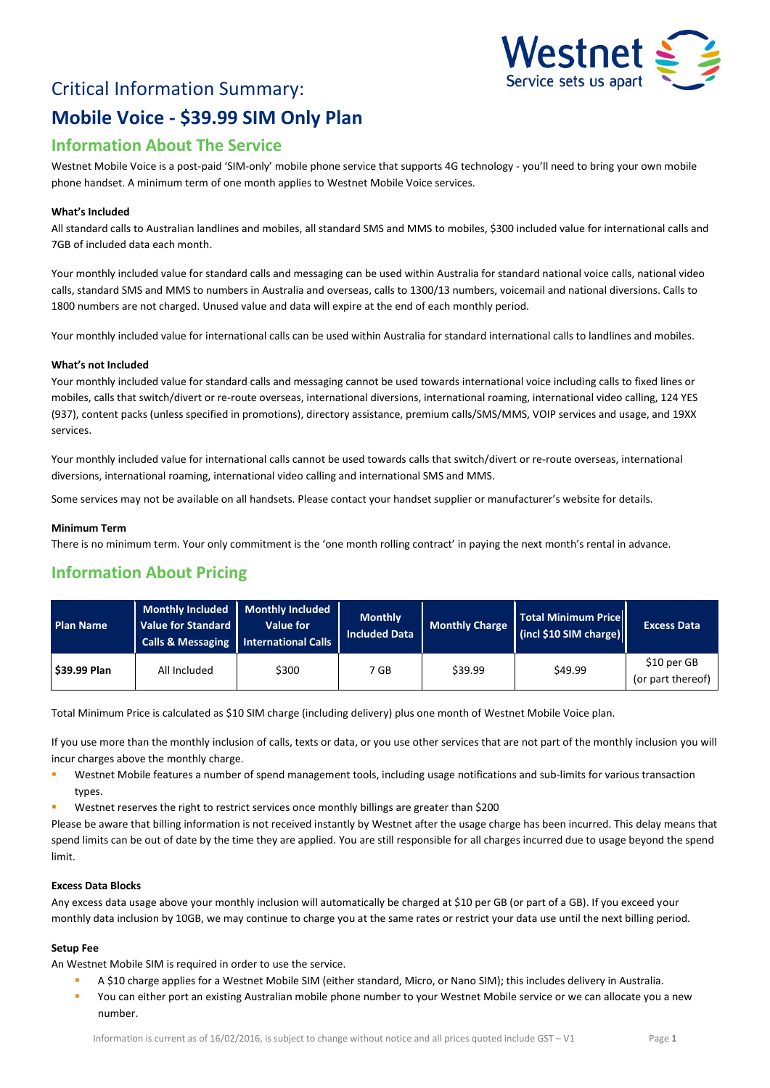

# Critical Information Summary: **Mobile Voice - \$39.99 SIM Only Plan**

## **Information About The Service**

Westnet Mobile Voice is a post-paid 'SIM-only' mobile phone service that supports 4G technology - you'll need to bring your own mobile phone handset. A minimum term of one month applies to Westnet Mobile Voice services.

#### **What's Included**

All standard calls to Australian landlines and mobiles, all standard SMS and MMS to mobiles, \$300 included value for international calls and 7GB of included data each month.

Your monthly included value for standard calls and messaging can be used within Australia for standard national voice calls, national video calls, standard SMS and MMS to numbers in Australia and overseas, calls to 1300/13 numbers, voicemail and national diversions. Calls to 1800 numbers are not charged. Unused value and data will expire at the end of each monthly period.

Your monthly included value for international calls can be used within Australia for standard international calls to landlines and mobiles.

#### **What's not Included**

Your monthly included value for standard calls and messaging cannot be used towards international voice including calls to fixed lines or mobiles, calls that switch/divert or re-route overseas, international diversions, international roaming, international video calling, 124 YES (937), content packs (unless specified in promotions), directory assistance, premium calls/SMS/MMS, VOIP services and usage, and 19XX services.

Your monthly included value for international calls cannot be used towards calls that switch/divert or re-route overseas, international diversions, international roaming, international video calling and international SMS and MMS.

Some services may not be available on all handsets. Please contact your handset supplier or manufacturer's website for details.

#### **Minimum Term**

There is no minimum term. Your only commitment is the 'one month rolling contract' in paying the next month's rental in advance.

### **Information About Pricing**

| <b>Plan Name</b> | <b>Monthly Included</b><br>Value for Standard | Monthly Included<br>Value for<br>Calls & Messaging   International Calls | <b>Monthly</b><br><b>Included Data</b> | <b>Monthly Charge</b> | Total Minimum Price<br>(incl \$10 SIM charge) | <b>Excess Data</b>               |
|------------------|-----------------------------------------------|--------------------------------------------------------------------------|----------------------------------------|-----------------------|-----------------------------------------------|----------------------------------|
| \$39.99 Plan     | All Included                                  | \$300                                                                    | 7 GB                                   | \$39.99               | \$49.99                                       | \$10 per GB<br>(or part thereof) |

Total Minimum Price is calculated as \$10 SIM charge (including delivery) plus one month of Westnet Mobile Voice plan.

If you use more than the monthly inclusion of calls, texts or data, or you use other services that are not part of the monthly inclusion you will incur charges above the monthly charge.

- **Westnet Mobile features a number of spend management tools, including usage notifications and sub-limits for various transaction** types.
- Westnet reserves the right to restrict services once monthly billings are greater than \$200

Please be aware that billing information is not received instantly by Westnet after the usage charge has been incurred. This delay means that spend limits can be out of date by the time they are applied. You are still responsible for all charges incurred due to usage beyond the spend limit.

#### **Excess Data Blocks**

Any excess data usage above your monthly inclusion will automatically be charged at \$10 per GB (or part of a GB). If you exceed your monthly data inclusion by 10GB, we may continue to charge you at the same rates or restrict your data use until the next billing period.

#### **Setup Fee**

An Westnet Mobile SIM is required in order to use the service.

- A \$10 charge applies for a Westnet Mobile SIM (either standard, Micro, or Nano SIM); this includes delivery in Australia.
- You can either port an existing Australian mobile phone number to your Westnet Mobile service or we can allocate you a new number.